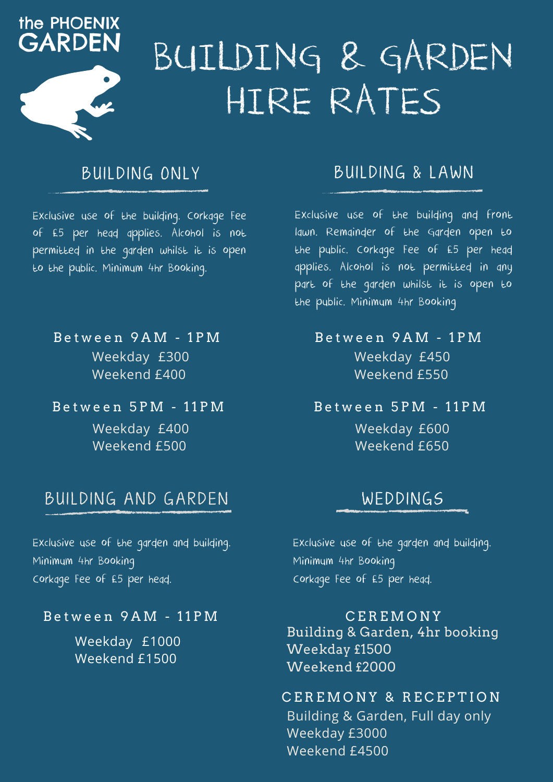

# BUILDING & GARDEN HIRE RATES

## BUILDING ONLY

Exclusive use of the building. Corkage Fee of £5 per head applies. Alcohol is not permitted in the garden whilst it is open to the public. Minimum 4hr Booking.

Weekday £300 Weekend £400 B e t w e e n 9 A M - 1 P M

B e t w e e n 5 P M - 1 1 P M

Weekday £400 Weekend £500

### BUILDING AND GARDEN

Exclusive use of the garden and building. Minimum 4hr Booking Corkage Fee of £5 per head.

#### B e t w e e n 9 A M - 1 1 P M

Weekday £1000 Weekend £1500

### BUILDING & LAWN

Exclusive use of the building and front lawn. Remainder of the Garden open to the public. Corkage Fee of £5 per head applies. Alcohol is not permitted in any part of the garden whilst it is open to the public. Minimum 4hr Booking

#### Weekday £450 Weekend £550 B e t w e e n 9 A M - 1 P M

B e t w e e n 5 P M - 1 1 P M

Weekday £600 Weekend £650

## WEDDINGS

Exclusive use of the garden and building. Minimum 4hr Booking Corkage Fee of £5 per head.

Building & Garden, 4hr booking Weekday £1500 Weekend £2000 C E R E M O N Y

Building & Garden, Full day only Weekday £3000 Weekend £4500 CEREMONY & RECEPTION